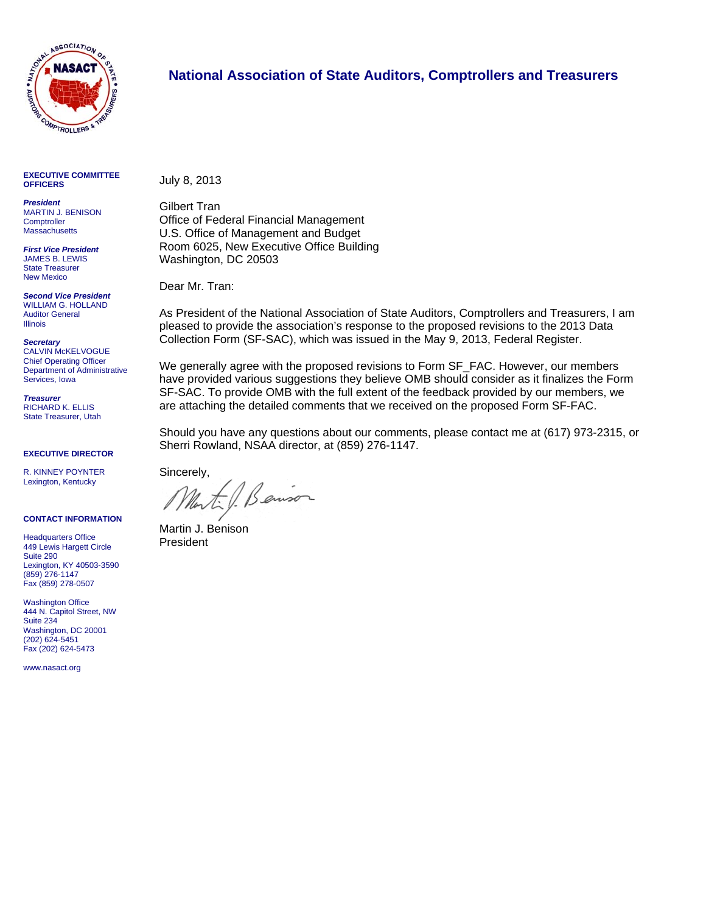

#### **National Association of State Auditors, Comptrollers and Treasurers**

**EXECUTIVE COMMITTEE OFFICERS** 

*President*  MARTIN J. BENISON **Comptroller Massachusetts** 

*First Vice President*  JAMES B. LEWIS State Treasurer New Mexico

*Second Vice President*  WILLIAM G. HOLLAND Auditor General Illinois

*Secretary*  CALVIN McKELVOGUE Chief Operating Officer Department of Administrative Services, Iowa

*Treasurer*  RICHARD K. ELLIS State Treasurer, Utah

**EXECUTIVE DIRECTOR** 

R. KINNEY POYNTER Lexington, Kentucky

#### **CONTACT INFORMATION**

**Headquarters Office** 449 Lewis Hargett Circle Suite 290 Lexington, KY 40503-3590 (859) 276-1147 Fax (859) 278-0507

Washington Office 444 N. Capitol Street, NW Suite 234 Washington, DC 20001 (202) 624-5451 Fax (202) 624-5473

www.nasact.org

July 8, 2013

Gilbert Tran Office of Federal Financial Management U.S. Office of Management and Budget Room 6025, New Executive Office Building Washington, DC 20503

Dear Mr. Tran:

As President of the National Association of State Auditors, Comptrollers and Treasurers, I am pleased to provide the association's response to the proposed revisions to the 2013 Data Collection Form (SF-SAC), which was issued in the May 9, 2013, Federal Register.

We generally agree with the proposed revisions to Form SF\_FAC. However, our members have provided various suggestions they believe OMB should consider as it finalizes the Form SF-SAC. To provide OMB with the full extent of the feedback provided by our members, we are attaching the detailed comments that we received on the proposed Form SF-FAC.

Should you have any questions about our comments, please contact me at (617) 973-2315, or Sherri Rowland, NSAA director, at (859) 276-1147.

Sincerely,

Benison

Martin J. Benison President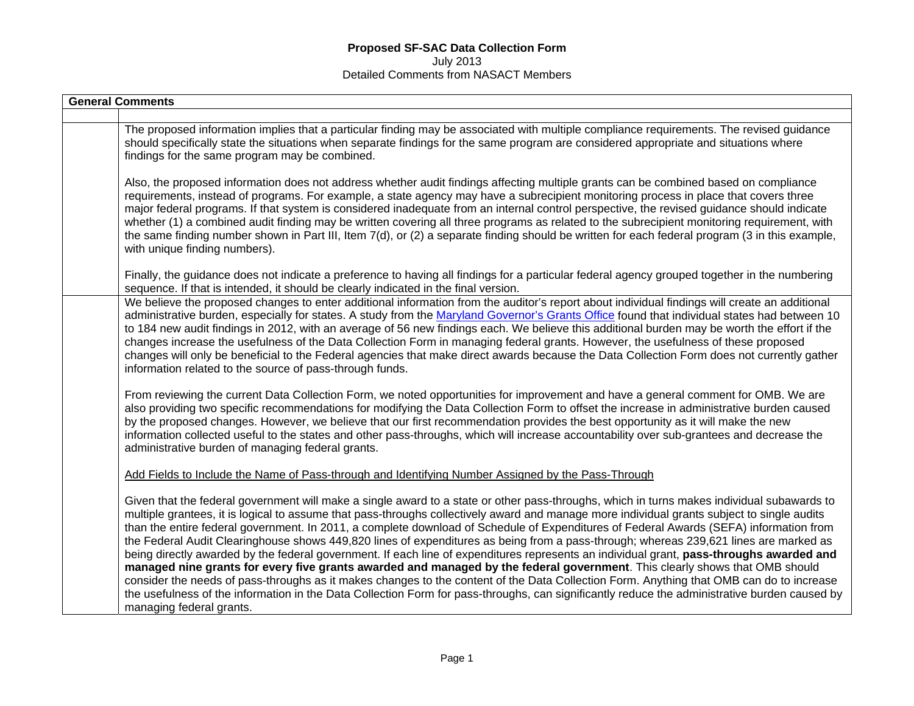| <b>General Comments</b> |                                                                                                                                                                                                                                                                                                                                                                                                                                                                                                                                                                                                                                                                                                                                                                                                                                                                                                                                                                                                                                                                                                                                                                                  |
|-------------------------|----------------------------------------------------------------------------------------------------------------------------------------------------------------------------------------------------------------------------------------------------------------------------------------------------------------------------------------------------------------------------------------------------------------------------------------------------------------------------------------------------------------------------------------------------------------------------------------------------------------------------------------------------------------------------------------------------------------------------------------------------------------------------------------------------------------------------------------------------------------------------------------------------------------------------------------------------------------------------------------------------------------------------------------------------------------------------------------------------------------------------------------------------------------------------------|
|                         |                                                                                                                                                                                                                                                                                                                                                                                                                                                                                                                                                                                                                                                                                                                                                                                                                                                                                                                                                                                                                                                                                                                                                                                  |
|                         | The proposed information implies that a particular finding may be associated with multiple compliance requirements. The revised guidance<br>should specifically state the situations when separate findings for the same program are considered appropriate and situations where<br>findings for the same program may be combined.                                                                                                                                                                                                                                                                                                                                                                                                                                                                                                                                                                                                                                                                                                                                                                                                                                               |
|                         | Also, the proposed information does not address whether audit findings affecting multiple grants can be combined based on compliance<br>requirements, instead of programs. For example, a state agency may have a subrecipient monitoring process in place that covers three<br>major federal programs. If that system is considered inadequate from an internal control perspective, the revised guidance should indicate<br>whether (1) a combined audit finding may be written covering all three programs as related to the subrecipient monitoring requirement, with<br>the same finding number shown in Part III, Item 7(d), or (2) a separate finding should be written for each federal program (3 in this example,<br>with unique finding numbers).                                                                                                                                                                                                                                                                                                                                                                                                                     |
|                         | Finally, the guidance does not indicate a preference to having all findings for a particular federal agency grouped together in the numbering<br>sequence. If that is intended, it should be clearly indicated in the final version.                                                                                                                                                                                                                                                                                                                                                                                                                                                                                                                                                                                                                                                                                                                                                                                                                                                                                                                                             |
|                         | We believe the proposed changes to enter additional information from the auditor's report about individual findings will create an additional<br>administrative burden, especially for states. A study from the Maryland Governor's Grants Office found that individual states had between 10<br>to 184 new audit findings in 2012, with an average of 56 new findings each. We believe this additional burden may be worth the effort if the<br>changes increase the usefulness of the Data Collection Form in managing federal grants. However, the usefulness of these proposed<br>changes will only be beneficial to the Federal agencies that make direct awards because the Data Collection Form does not currently gather<br>information related to the source of pass-through funds.                                                                                                                                                                                                                                                                                                                                                                                     |
|                         | From reviewing the current Data Collection Form, we noted opportunities for improvement and have a general comment for OMB. We are<br>also providing two specific recommendations for modifying the Data Collection Form to offset the increase in administrative burden caused<br>by the proposed changes. However, we believe that our first recommendation provides the best opportunity as it will make the new<br>information collected useful to the states and other pass-throughs, which will increase accountability over sub-grantees and decrease the<br>administrative burden of managing federal grants.                                                                                                                                                                                                                                                                                                                                                                                                                                                                                                                                                            |
|                         | Add Fields to Include the Name of Pass-through and Identifying Number Assigned by the Pass-Through                                                                                                                                                                                                                                                                                                                                                                                                                                                                                                                                                                                                                                                                                                                                                                                                                                                                                                                                                                                                                                                                               |
|                         | Given that the federal government will make a single award to a state or other pass-throughs, which in turns makes individual subawards to<br>multiple grantees, it is logical to assume that pass-throughs collectively award and manage more individual grants subject to single audits<br>than the entire federal government. In 2011, a complete download of Schedule of Expenditures of Federal Awards (SEFA) information from<br>the Federal Audit Clearinghouse shows 449,820 lines of expenditures as being from a pass-through; whereas 239,621 lines are marked as<br>being directly awarded by the federal government. If each line of expenditures represents an individual grant, pass-throughs awarded and<br>managed nine grants for every five grants awarded and managed by the federal government. This clearly shows that OMB should<br>consider the needs of pass-throughs as it makes changes to the content of the Data Collection Form. Anything that OMB can do to increase<br>the usefulness of the information in the Data Collection Form for pass-throughs, can significantly reduce the administrative burden caused by<br>managing federal grants. |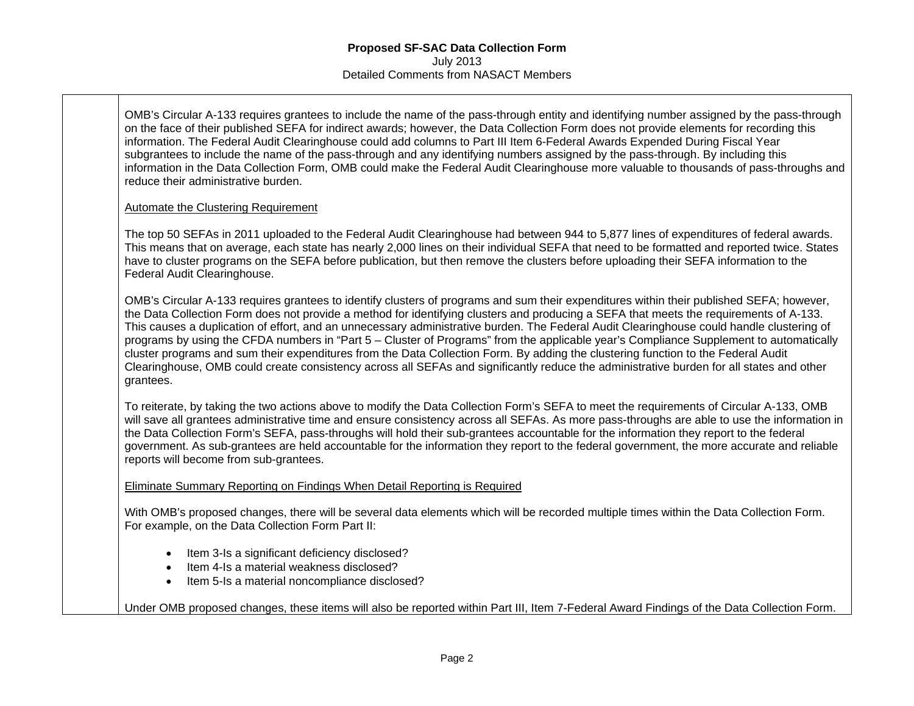OMB's Circular A-133 requires grantees to include the name of the pass-through entity and identifying number assigned by the pass-through on the face of their published SEFA for indirect awards; however, the Data Collection Form does not provide elements for recording this information. The Federal Audit Clearinghouse could add columns to Part III Item 6-Federal Awards Expended During Fiscal Year subgrantees to include the name of the pass-through and any identifying numbers assigned by the pass-through. By including this information in the Data Collection Form, OMB could make the Federal Audit Clearinghouse more valuable to thousands of pass-throughs and reduce their administrative burden.

## Automate the Clustering Requirement

The top 50 SEFAs in 2011 uploaded to the Federal Audit Clearinghouse had between 944 to 5,877 lines of expenditures of federal awards. This means that on average, each state has nearly 2,000 lines on their individual SEFA that need to be formatted and reported twice. States have to cluster programs on the SEFA before publication, but then remove the clusters before uploading their SEFA information to the Federal Audit Clearinghouse.

OMB's Circular A-133 requires grantees to identify clusters of programs and sum their expenditures within their published SEFA; however, the Data Collection Form does not provide a method for identifying clusters and producing a SEFA that meets the requirements of A-133. This causes a duplication of effort, and an unnecessary administrative burden. The Federal Audit Clearinghouse could handle clustering of programs by using the CFDA numbers in "Part 5 – Cluster of Programs" from the applicable year's Compliance Supplement to automatically cluster programs and sum their expenditures from the Data Collection Form. By adding the clustering function to the Federal Audit Clearinghouse, OMB could create consistency across all SEFAs and significantly reduce the administrative burden for all states and other grantees.

To reiterate, by taking the two actions above to modify the Data Collection Form's SEFA to meet the requirements of Circular A-133, OMB will save all grantees administrative time and ensure consistency across all SEFAs. As more pass-throughs are able to use the information in the Data Collection Form's SEFA, pass-throughs will hold their sub-grantees accountable for the information they report to the federal government. As sub-grantees are held accountable for the information they report to the federal government, the more accurate and reliable reports will become from sub-grantees.

## Eliminate Summary Reporting on Findings When Detail Reporting is Required

With OMB's proposed changes, there will be several data elements which will be recorded multiple times within the Data Collection Form. For example, on the Data Collection Form Part II:

- Item 3-Is a significant deficiency disclosed?
- Item 4-Is a material weakness disclosed?
- Item 5-Is a material noncompliance disclosed?

#### Under OMB proposed changes, these items will also be reported within Part III, Item 7-Federal Award Findings of the Data Collection Form.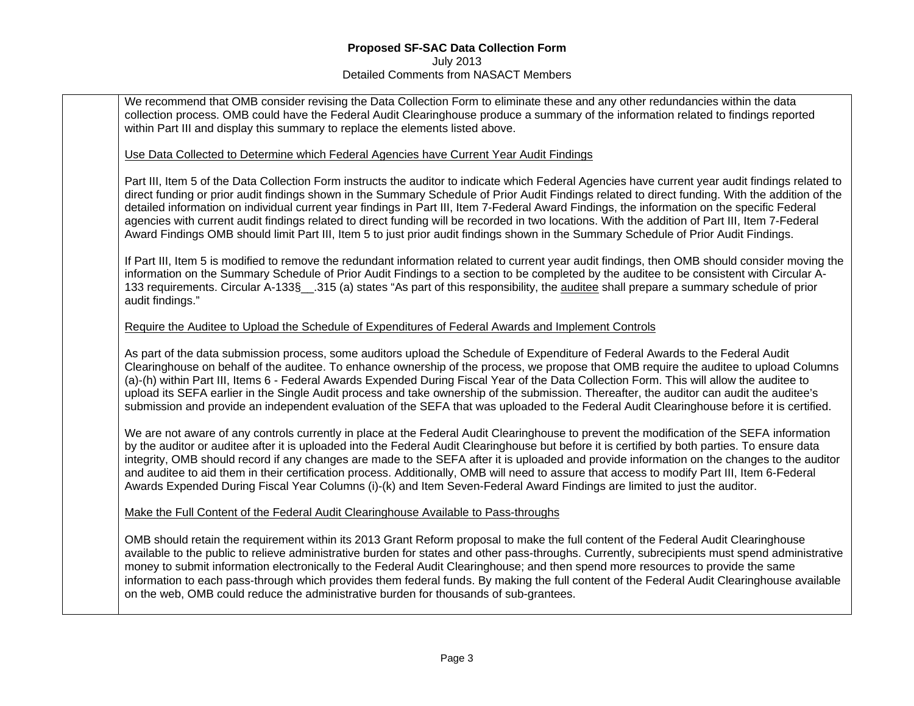We recommend that OMB consider revising the Data Collection Form to eliminate these and any other redundancies within the data collection process. OMB could have the Federal Audit Clearinghouse produce a summary of the information related to findings reported within Part III and display this summary to replace the elements listed above.

#### Use Data Collected to Determine which Federal Agencies have Current Year Audit Findings

Part III, Item 5 of the Data Collection Form instructs the auditor to indicate which Federal Agencies have current year audit findings related to direct funding or prior audit findings shown in the Summary Schedule of Prior Audit Findings related to direct funding. With the addition of the detailed information on individual current year findings in Part III, Item 7-Federal Award Findings, the information on the specific Federal agencies with current audit findings related to direct funding will be recorded in two locations. With the addition of Part III, Item 7-Federal Award Findings OMB should limit Part III, Item 5 to just prior audit findings shown in the Summary Schedule of Prior Audit Findings.

If Part III, Item 5 is modified to remove the redundant information related to current year audit findings, then OMB should consider moving the information on the Summary Schedule of Prior Audit Findings to a section to be completed by the auditee to be consistent with Circular A-133 requirements. Circular A-133§\_\_.315 (a) states "As part of this responsibility, the auditee shall prepare a summary schedule of prior audit findings."

#### Require the Auditee to Upload the Schedule of Expenditures of Federal Awards and Implement Controls

As part of the data submission process, some auditors upload the Schedule of Expenditure of Federal Awards to the Federal Audit Clearinghouse on behalf of the auditee. To enhance ownership of the process, we propose that OMB require the auditee to upload Columns (a)-(h) within Part III, Items 6 - Federal Awards Expended During Fiscal Year of the Data Collection Form. This will allow the auditee to upload its SEFA earlier in the Single Audit process and take ownership of the submission. Thereafter, the auditor can audit the auditee's submission and provide an independent evaluation of the SEFA that was uploaded to the Federal Audit Clearinghouse before it is certified.

We are not aware of any controls currently in place at the Federal Audit Clearinghouse to prevent the modification of the SEFA information by the auditor or auditee after it is uploaded into the Federal Audit Clearinghouse but before it is certified by both parties. To ensure data integrity, OMB should record if any changes are made to the SEFA after it is uploaded and provide information on the changes to the auditor and auditee to aid them in their certification process. Additionally, OMB will need to assure that access to modify Part III, Item 6-Federal Awards Expended During Fiscal Year Columns (i)-(k) and Item Seven-Federal Award Findings are limited to just the auditor.

#### Make the Full Content of the Federal Audit Clearinghouse Available to Pass-throughs

OMB should retain the requirement within its 2013 Grant Reform proposal to make the full content of the Federal Audit Clearinghouse available to the public to relieve administrative burden for states and other pass-throughs. Currently, subrecipients must spend administrative money to submit information electronically to the Federal Audit Clearinghouse; and then spend more resources to provide the same information to each pass-through which provides them federal funds. By making the full content of the Federal Audit Clearinghouse available on the web, OMB could reduce the administrative burden for thousands of sub-grantees.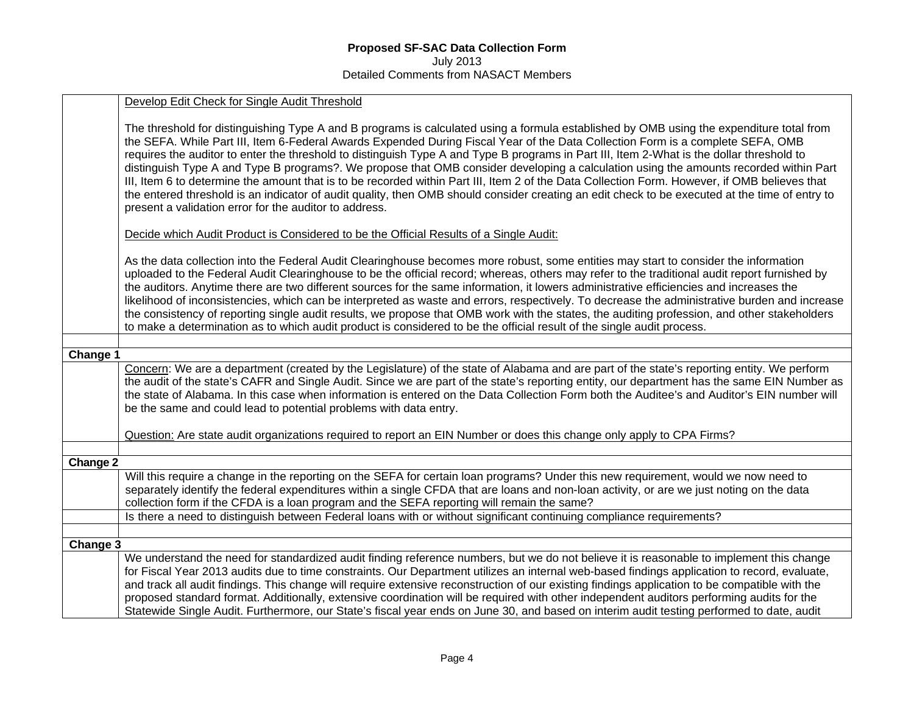|          | Develop Edit Check for Single Audit Threshold                                                                                                                                                                                                                                                                                                                                                                                                                                                                                                                                                                                                                                                                                                                                                                                                                                                                                  |
|----------|--------------------------------------------------------------------------------------------------------------------------------------------------------------------------------------------------------------------------------------------------------------------------------------------------------------------------------------------------------------------------------------------------------------------------------------------------------------------------------------------------------------------------------------------------------------------------------------------------------------------------------------------------------------------------------------------------------------------------------------------------------------------------------------------------------------------------------------------------------------------------------------------------------------------------------|
|          | The threshold for distinguishing Type A and B programs is calculated using a formula established by OMB using the expenditure total from<br>the SEFA. While Part III, Item 6-Federal Awards Expended During Fiscal Year of the Data Collection Form is a complete SEFA, OMB<br>requires the auditor to enter the threshold to distinguish Type A and Type B programs in Part III, Item 2-What is the dollar threshold to<br>distinguish Type A and Type B programs?. We propose that OMB consider developing a calculation using the amounts recorded within Part<br>III, Item 6 to determine the amount that is to be recorded within Part III, Item 2 of the Data Collection Form. However, if OMB believes that<br>the entered threshold is an indicator of audit quality, then OMB should consider creating an edit check to be executed at the time of entry to<br>present a validation error for the auditor to address. |
|          | Decide which Audit Product is Considered to be the Official Results of a Single Audit:                                                                                                                                                                                                                                                                                                                                                                                                                                                                                                                                                                                                                                                                                                                                                                                                                                         |
|          | As the data collection into the Federal Audit Clearinghouse becomes more robust, some entities may start to consider the information<br>uploaded to the Federal Audit Clearinghouse to be the official record; whereas, others may refer to the traditional audit report furnished by<br>the auditors. Anytime there are two different sources for the same information, it lowers administrative efficiencies and increases the<br>likelihood of inconsistencies, which can be interpreted as waste and errors, respectively. To decrease the administrative burden and increase<br>the consistency of reporting single audit results, we propose that OMB work with the states, the auditing profession, and other stakeholders<br>to make a determination as to which audit product is considered to be the official result of the single audit process.                                                                    |
|          |                                                                                                                                                                                                                                                                                                                                                                                                                                                                                                                                                                                                                                                                                                                                                                                                                                                                                                                                |
| Change 1 | Concern: We are a department (created by the Legislature) of the state of Alabama and are part of the state's reporting entity. We perform<br>the audit of the state's CAFR and Single Audit. Since we are part of the state's reporting entity, our department has the same EIN Number as<br>the state of Alabama. In this case when information is entered on the Data Collection Form both the Auditee's and Auditor's EIN number will<br>be the same and could lead to potential problems with data entry.                                                                                                                                                                                                                                                                                                                                                                                                                 |
|          | Question: Are state audit organizations required to report an EIN Number or does this change only apply to CPA Firms?                                                                                                                                                                                                                                                                                                                                                                                                                                                                                                                                                                                                                                                                                                                                                                                                          |
| Change 2 |                                                                                                                                                                                                                                                                                                                                                                                                                                                                                                                                                                                                                                                                                                                                                                                                                                                                                                                                |
|          | Will this require a change in the reporting on the SEFA for certain loan programs? Under this new requirement, would we now need to<br>separately identify the federal expenditures within a single CFDA that are loans and non-loan activity, or are we just noting on the data<br>collection form if the CFDA is a loan program and the SEFA reporting will remain the same?                                                                                                                                                                                                                                                                                                                                                                                                                                                                                                                                                 |
|          | Is there a need to distinguish between Federal loans with or without significant continuing compliance requirements?                                                                                                                                                                                                                                                                                                                                                                                                                                                                                                                                                                                                                                                                                                                                                                                                           |
|          |                                                                                                                                                                                                                                                                                                                                                                                                                                                                                                                                                                                                                                                                                                                                                                                                                                                                                                                                |
| Change 3 | We understand the need for standardized audit finding reference numbers, but we do not believe it is reasonable to implement this change<br>for Fiscal Year 2013 audits due to time constraints. Our Department utilizes an internal web-based findings application to record, evaluate,<br>and track all audit findings. This change will require extensive reconstruction of our existing findings application to be compatible with the<br>proposed standard format. Additionally, extensive coordination will be required with other independent auditors performing audits for the<br>Statewide Single Audit. Furthermore, our State's fiscal year ends on June 30, and based on interim audit testing performed to date, audit                                                                                                                                                                                           |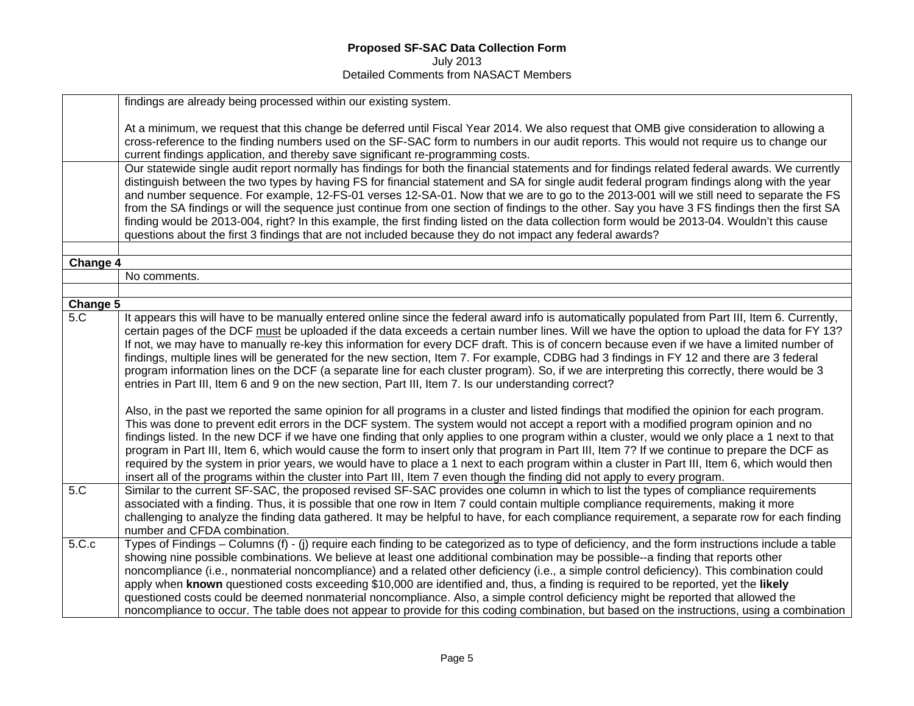|                              | findings are already being processed within our existing system.                                                                                                                                                                                                                                                                                                                                                                                                                                                                                                                                                                                                                                                                                                                                                                                                       |
|------------------------------|------------------------------------------------------------------------------------------------------------------------------------------------------------------------------------------------------------------------------------------------------------------------------------------------------------------------------------------------------------------------------------------------------------------------------------------------------------------------------------------------------------------------------------------------------------------------------------------------------------------------------------------------------------------------------------------------------------------------------------------------------------------------------------------------------------------------------------------------------------------------|
|                              | At a minimum, we request that this change be deferred until Fiscal Year 2014. We also request that OMB give consideration to allowing a<br>cross-reference to the finding numbers used on the SF-SAC form to numbers in our audit reports. This would not require us to change our<br>current findings application, and thereby save significant re-programming costs.                                                                                                                                                                                                                                                                                                                                                                                                                                                                                                 |
|                              | Our statewide single audit report normally has findings for both the financial statements and for findings related federal awards. We currently<br>distinguish between the two types by having FS for financial statement and SA for single audit federal program findings along with the year<br>and number sequence. For example, 12-FS-01 verses 12-SA-01. Now that we are to go to the 2013-001 will we still need to separate the FS<br>from the SA findings or will the sequence just continue from one section of findings to the other. Say you have 3 FS findings then the first SA<br>finding would be 2013-004, right? In this example, the first finding listed on the data collection form would be 2013-04. Wouldn't this cause<br>questions about the first 3 findings that are not included because they do not impact any federal awards?             |
|                              |                                                                                                                                                                                                                                                                                                                                                                                                                                                                                                                                                                                                                                                                                                                                                                                                                                                                        |
| Change 4                     |                                                                                                                                                                                                                                                                                                                                                                                                                                                                                                                                                                                                                                                                                                                                                                                                                                                                        |
|                              | No comments.                                                                                                                                                                                                                                                                                                                                                                                                                                                                                                                                                                                                                                                                                                                                                                                                                                                           |
|                              |                                                                                                                                                                                                                                                                                                                                                                                                                                                                                                                                                                                                                                                                                                                                                                                                                                                                        |
| Change 5<br>$5.\overline{C}$ | It appears this will have to be manually entered online since the federal award info is automatically populated from Part III, Item 6. Currently,                                                                                                                                                                                                                                                                                                                                                                                                                                                                                                                                                                                                                                                                                                                      |
|                              | certain pages of the DCF must be uploaded if the data exceeds a certain number lines. Will we have the option to upload the data for FY 13?<br>If not, we may have to manually re-key this information for every DCF draft. This is of concern because even if we have a limited number of<br>findings, multiple lines will be generated for the new section, Item 7. For example, CDBG had 3 findings in FY 12 and there are 3 federal<br>program information lines on the DCF (a separate line for each cluster program). So, if we are interpreting this correctly, there would be 3<br>entries in Part III, Item 6 and 9 on the new section, Part III, Item 7. Is our understanding correct?                                                                                                                                                                       |
|                              | Also, in the past we reported the same opinion for all programs in a cluster and listed findings that modified the opinion for each program.<br>This was done to prevent edit errors in the DCF system. The system would not accept a report with a modified program opinion and no<br>findings listed. In the new DCF if we have one finding that only applies to one program within a cluster, would we only place a 1 next to that<br>program in Part III, Item 6, which would cause the form to insert only that program in Part III, Item 7? If we continue to prepare the DCF as<br>required by the system in prior years, we would have to place a 1 next to each program within a cluster in Part III, Item 6, which would then<br>insert all of the programs within the cluster into Part III, Item 7 even though the finding did not apply to every program. |
| 5.C                          | Similar to the current SF-SAC, the proposed revised SF-SAC provides one column in which to list the types of compliance requirements<br>associated with a finding. Thus, it is possible that one row in Item 7 could contain multiple compliance requirements, making it more<br>challenging to analyze the finding data gathered. It may be helpful to have, for each compliance requirement, a separate row for each finding<br>number and CFDA combination.                                                                                                                                                                                                                                                                                                                                                                                                         |
| 5.C.c                        | Types of Findings – Columns (f) - (j) require each finding to be categorized as to type of deficiency, and the form instructions include a table<br>showing nine possible combinations. We believe at least one additional combination may be possible--a finding that reports other<br>noncompliance (i.e., nonmaterial noncompliance) and a related other deficiency (i.e., a simple control deficiency). This combination could<br>apply when known questioned costs exceeding \$10,000 are identified and, thus, a finding is required to be reported, yet the likely<br>questioned costs could be deemed nonmaterial noncompliance. Also, a simple control deficiency might be reported that allowed the<br>noncompliance to occur. The table does not appear to provide for this coding combination, but based on the instructions, using a combination          |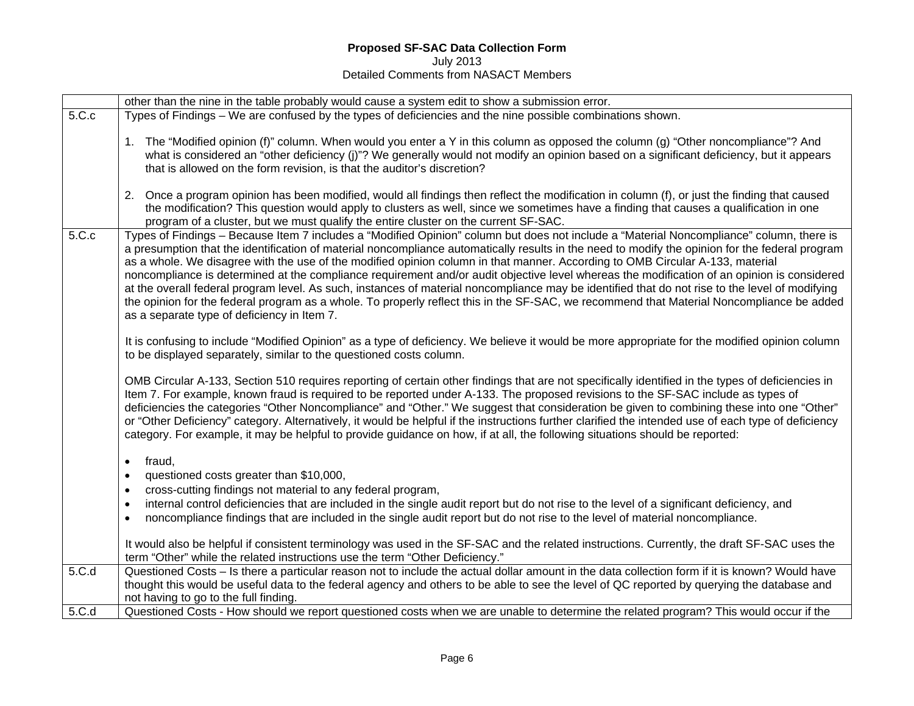# **Proposed SF-SAC Data Collection Form**

July 2013 Detailed Comments from NASACT Members

|       | other than the nine in the table probably would cause a system edit to show a submission error.                                                                                                                                                                                                                                                                                                                                                                                                                                                                                                                                                                                                                                                                                                                                                                                                                            |
|-------|----------------------------------------------------------------------------------------------------------------------------------------------------------------------------------------------------------------------------------------------------------------------------------------------------------------------------------------------------------------------------------------------------------------------------------------------------------------------------------------------------------------------------------------------------------------------------------------------------------------------------------------------------------------------------------------------------------------------------------------------------------------------------------------------------------------------------------------------------------------------------------------------------------------------------|
| 5.C.c | Types of Findings – We are confused by the types of deficiencies and the nine possible combinations shown.                                                                                                                                                                                                                                                                                                                                                                                                                                                                                                                                                                                                                                                                                                                                                                                                                 |
|       | 1. The "Modified opinion (f)" column. When would you enter a Y in this column as opposed the column (g) "Other noncompliance"? And<br>what is considered an "other deficiency (j)"? We generally would not modify an opinion based on a significant deficiency, but it appears<br>that is allowed on the form revision, is that the auditor's discretion?<br>2. Once a program opinion has been modified, would all findings then reflect the modification in column (f), or just the finding that caused                                                                                                                                                                                                                                                                                                                                                                                                                  |
|       | the modification? This question would apply to clusters as well, since we sometimes have a finding that causes a qualification in one<br>program of a cluster, but we must qualify the entire cluster on the current SF-SAC.                                                                                                                                                                                                                                                                                                                                                                                                                                                                                                                                                                                                                                                                                               |
| 5.C.c | Types of Findings - Because Item 7 includes a "Modified Opinion" column but does not include a "Material Noncompliance" column, there is<br>a presumption that the identification of material noncompliance automatically results in the need to modify the opinion for the federal program<br>as a whole. We disagree with the use of the modified opinion column in that manner. According to OMB Circular A-133, material<br>noncompliance is determined at the compliance requirement and/or audit objective level whereas the modification of an opinion is considered<br>at the overall federal program level. As such, instances of material noncompliance may be identified that do not rise to the level of modifying<br>the opinion for the federal program as a whole. To properly reflect this in the SF-SAC, we recommend that Material Noncompliance be added<br>as a separate type of deficiency in Item 7. |
|       | It is confusing to include "Modified Opinion" as a type of deficiency. We believe it would be more appropriate for the modified opinion column<br>to be displayed separately, similar to the questioned costs column.                                                                                                                                                                                                                                                                                                                                                                                                                                                                                                                                                                                                                                                                                                      |
|       | OMB Circular A-133, Section 510 requires reporting of certain other findings that are not specifically identified in the types of deficiencies in<br>Item 7. For example, known fraud is required to be reported under A-133. The proposed revisions to the SF-SAC include as types of<br>deficiencies the categories "Other Noncompliance" and "Other." We suggest that consideration be given to combining these into one "Other"<br>or "Other Deficiency" category. Alternatively, it would be helpful if the instructions further clarified the intended use of each type of deficiency<br>category. For example, it may be helpful to provide guidance on how, if at all, the following situations should be reported:                                                                                                                                                                                                |
|       | fraud,<br>$\bullet$<br>questioned costs greater than \$10,000,<br>$\bullet$<br>cross-cutting findings not material to any federal program,<br>$\bullet$<br>internal control deficiencies that are included in the single audit report but do not rise to the level of a significant deficiency, and<br>$\bullet$<br>noncompliance findings that are included in the single audit report but do not rise to the level of material noncompliance.<br>$\bullet$                                                                                                                                                                                                                                                                                                                                                                                                                                                               |
|       | It would also be helpful if consistent terminology was used in the SF-SAC and the related instructions. Currently, the draft SF-SAC uses the<br>term "Other" while the related instructions use the term "Other Deficiency."                                                                                                                                                                                                                                                                                                                                                                                                                                                                                                                                                                                                                                                                                               |
| 5.C.d | Questioned Costs – Is there a particular reason not to include the actual dollar amount in the data collection form if it is known? Would have<br>thought this would be useful data to the federal agency and others to be able to see the level of QC reported by querying the database and<br>not having to go to the full finding.                                                                                                                                                                                                                                                                                                                                                                                                                                                                                                                                                                                      |
| 5.C.d | Questioned Costs - How should we report questioned costs when we are unable to determine the related program? This would occur if the                                                                                                                                                                                                                                                                                                                                                                                                                                                                                                                                                                                                                                                                                                                                                                                      |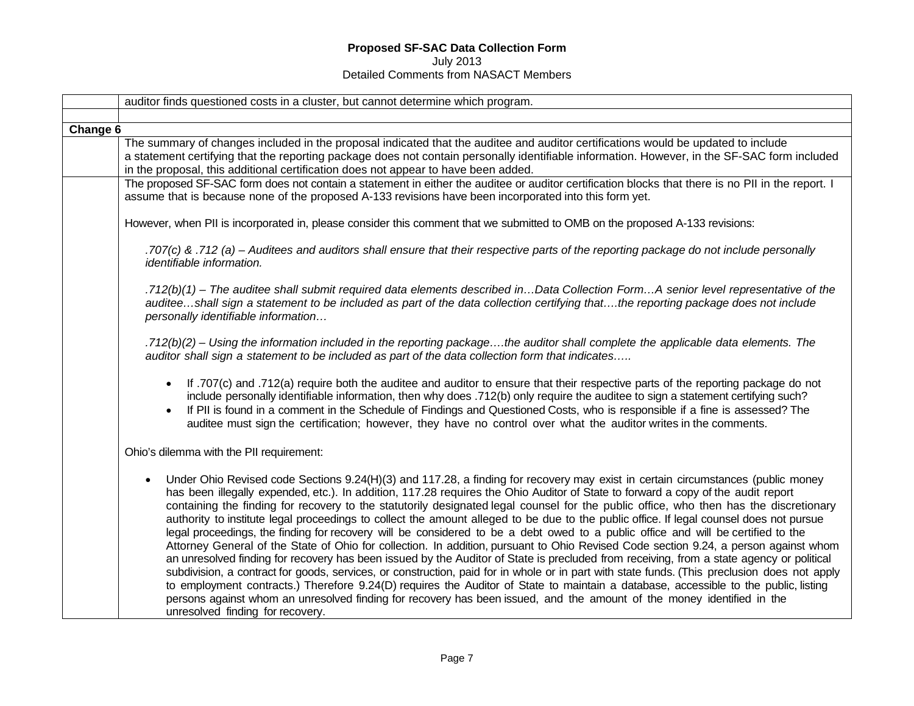# **Proposed SF-SAC Data Collection Form**  July 2013

#### Detailed Comments from NASACT Members

|          | auditor finds questioned costs in a cluster, but cannot determine which program.                                                                                                                                                                                                                                                                                                                                                                                                                                                                                                                                                                                                                                                                                                                                                                                                                                                                                                                                                                                                                                                                                                                                                                                                                                                                                                                                                                  |
|----------|---------------------------------------------------------------------------------------------------------------------------------------------------------------------------------------------------------------------------------------------------------------------------------------------------------------------------------------------------------------------------------------------------------------------------------------------------------------------------------------------------------------------------------------------------------------------------------------------------------------------------------------------------------------------------------------------------------------------------------------------------------------------------------------------------------------------------------------------------------------------------------------------------------------------------------------------------------------------------------------------------------------------------------------------------------------------------------------------------------------------------------------------------------------------------------------------------------------------------------------------------------------------------------------------------------------------------------------------------------------------------------------------------------------------------------------------------|
|          |                                                                                                                                                                                                                                                                                                                                                                                                                                                                                                                                                                                                                                                                                                                                                                                                                                                                                                                                                                                                                                                                                                                                                                                                                                                                                                                                                                                                                                                   |
| Change 6 |                                                                                                                                                                                                                                                                                                                                                                                                                                                                                                                                                                                                                                                                                                                                                                                                                                                                                                                                                                                                                                                                                                                                                                                                                                                                                                                                                                                                                                                   |
|          | The summary of changes included in the proposal indicated that the auditee and auditor certifications would be updated to include<br>a statement certifying that the reporting package does not contain personally identifiable information. However, in the SF-SAC form included<br>in the proposal, this additional certification does not appear to have been added.                                                                                                                                                                                                                                                                                                                                                                                                                                                                                                                                                                                                                                                                                                                                                                                                                                                                                                                                                                                                                                                                           |
|          | The proposed SF-SAC form does not contain a statement in either the auditee or auditor certification blocks that there is no PII in the report. I<br>assume that is because none of the proposed A-133 revisions have been incorporated into this form yet.                                                                                                                                                                                                                                                                                                                                                                                                                                                                                                                                                                                                                                                                                                                                                                                                                                                                                                                                                                                                                                                                                                                                                                                       |
|          | However, when PII is incorporated in, please consider this comment that we submitted to OMB on the proposed A-133 revisions:                                                                                                                                                                                                                                                                                                                                                                                                                                                                                                                                                                                                                                                                                                                                                                                                                                                                                                                                                                                                                                                                                                                                                                                                                                                                                                                      |
|          | .707(c) & .712 (a) – Auditees and auditors shall ensure that their respective parts of the reporting package do not include personally<br>identifiable information.                                                                                                                                                                                                                                                                                                                                                                                                                                                                                                                                                                                                                                                                                                                                                                                                                                                                                                                                                                                                                                                                                                                                                                                                                                                                               |
|          | .712(b)(1) - The auditee shall submit required data elements described inData Collection FormA senior level representative of the<br>auditeeshall sign a statement to be included as part of the data collection certifying thatthe reporting package does not include<br>personally identifiable information                                                                                                                                                                                                                                                                                                                                                                                                                                                                                                                                                                                                                                                                                                                                                                                                                                                                                                                                                                                                                                                                                                                                     |
|          | .712(b)(2) – Using the information included in the reporting packagethe auditor shall complete the applicable data elements. The<br>auditor shall sign a statement to be included as part of the data collection form that indicates                                                                                                                                                                                                                                                                                                                                                                                                                                                                                                                                                                                                                                                                                                                                                                                                                                                                                                                                                                                                                                                                                                                                                                                                              |
|          | If .707(c) and .712(a) require both the auditee and auditor to ensure that their respective parts of the reporting package do not<br>$\bullet$<br>include personally identifiable information, then why does .712(b) only require the auditee to sign a statement certifying such?<br>If PII is found in a comment in the Schedule of Findings and Questioned Costs, who is responsible if a fine is assessed? The<br>$\bullet$<br>auditee must sign the certification; however, they have no control over what the auditor writes in the comments.                                                                                                                                                                                                                                                                                                                                                                                                                                                                                                                                                                                                                                                                                                                                                                                                                                                                                               |
|          | Ohio's dilemma with the PII requirement:                                                                                                                                                                                                                                                                                                                                                                                                                                                                                                                                                                                                                                                                                                                                                                                                                                                                                                                                                                                                                                                                                                                                                                                                                                                                                                                                                                                                          |
|          | Under Ohio Revised code Sections 9.24(H)(3) and 117.28, a finding for recovery may exist in certain circumstances (public money<br>$\bullet$<br>has been illegally expended, etc.). In addition, 117.28 requires the Ohio Auditor of State to forward a copy of the audit report<br>containing the finding for recovery to the statutorily designated legal counsel for the public office, who then has the discretionary<br>authority to institute legal proceedings to collect the amount alleged to be due to the public office. If legal counsel does not pursue<br>legal proceedings, the finding for recovery will be considered to be a debt owed to a public office and will be certified to the<br>Attorney General of the State of Ohio for collection. In addition, pursuant to Ohio Revised Code section 9.24, a person against whom<br>an unresolved finding for recovery has been issued by the Auditor of State is precluded from receiving, from a state agency or political<br>subdivision, a contract for goods, services, or construction, paid for in whole or in part with state funds. (This preclusion does not apply<br>to employment contracts.) Therefore 9.24(D) requires the Auditor of State to maintain a database, accessible to the public, listing<br>persons against whom an unresolved finding for recovery has been issued, and the amount of the money identified in the<br>unresolved finding for recovery. |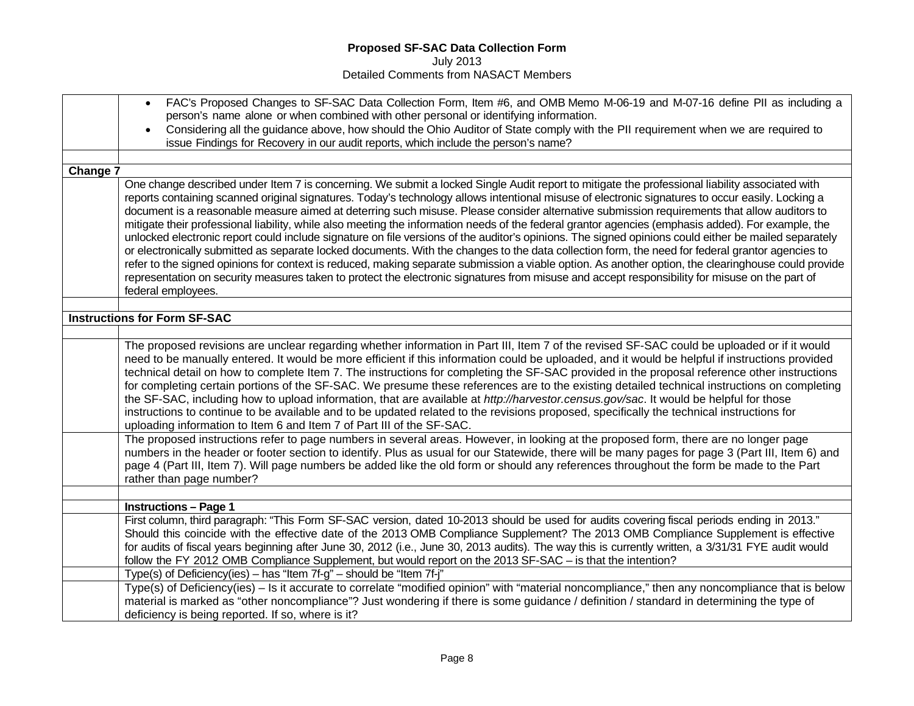| FAC's Proposed Changes to SF-SAC Data Collection Form, Item #6, and OMB Memo M-06-19 and M-07-16 define PII as including a<br>$\bullet$<br>person's name alone or when combined with other personal or identifying information.<br>Considering all the guidance above, how should the Ohio Auditor of State comply with the PII requirement when we are required to<br>issue Findings for Recovery in our audit reports, which include the person's name?                                                                                                                                                                                                                                                                                                                                                                                                                                                                                                                                                                                                                                                                                                                                                                                                                                                                                                                                                                         |
|-----------------------------------------------------------------------------------------------------------------------------------------------------------------------------------------------------------------------------------------------------------------------------------------------------------------------------------------------------------------------------------------------------------------------------------------------------------------------------------------------------------------------------------------------------------------------------------------------------------------------------------------------------------------------------------------------------------------------------------------------------------------------------------------------------------------------------------------------------------------------------------------------------------------------------------------------------------------------------------------------------------------------------------------------------------------------------------------------------------------------------------------------------------------------------------------------------------------------------------------------------------------------------------------------------------------------------------------------------------------------------------------------------------------------------------|
|                                                                                                                                                                                                                                                                                                                                                                                                                                                                                                                                                                                                                                                                                                                                                                                                                                                                                                                                                                                                                                                                                                                                                                                                                                                                                                                                                                                                                                   |
| Change 7                                                                                                                                                                                                                                                                                                                                                                                                                                                                                                                                                                                                                                                                                                                                                                                                                                                                                                                                                                                                                                                                                                                                                                                                                                                                                                                                                                                                                          |
| One change described under Item 7 is concerning. We submit a locked Single Audit report to mitigate the professional liability associated with<br>reports containing scanned original signatures. Today's technology allows intentional misuse of electronic signatures to occur easily. Locking a<br>document is a reasonable measure aimed at deterring such misuse. Please consider alternative submission requirements that allow auditors to<br>mitigate their professional liability, while also meeting the information needs of the federal grantor agencies (emphasis added). For example, the<br>unlocked electronic report could include signature on file versions of the auditor's opinions. The signed opinions could either be mailed separately<br>or electronically submitted as separate locked documents. With the changes to the data collection form, the need for federal grantor agencies to<br>refer to the signed opinions for context is reduced, making separate submission a viable option. As another option, the clearinghouse could provide<br>representation on security measures taken to protect the electronic signatures from misuse and accept responsibility for misuse on the part of<br>federal employees.                                                                                                                                                                                |
|                                                                                                                                                                                                                                                                                                                                                                                                                                                                                                                                                                                                                                                                                                                                                                                                                                                                                                                                                                                                                                                                                                                                                                                                                                                                                                                                                                                                                                   |
| <b>Instructions for Form SF-SAC</b>                                                                                                                                                                                                                                                                                                                                                                                                                                                                                                                                                                                                                                                                                                                                                                                                                                                                                                                                                                                                                                                                                                                                                                                                                                                                                                                                                                                               |
| The proposed revisions are unclear regarding whether information in Part III, Item 7 of the revised SF-SAC could be uploaded or if it would<br>need to be manually entered. It would be more efficient if this information could be uploaded, and it would be helpful if instructions provided<br>technical detail on how to complete Item 7. The instructions for completing the SF-SAC provided in the proposal reference other instructions<br>for completing certain portions of the SF-SAC. We presume these references are to the existing detailed technical instructions on completing<br>the SF-SAC, including how to upload information, that are available at http://harvestor.census.gov/sac. It would be helpful for those<br>instructions to continue to be available and to be updated related to the revisions proposed, specifically the technical instructions for<br>uploading information to Item 6 and Item 7 of Part III of the SF-SAC.<br>The proposed instructions refer to page numbers in several areas. However, in looking at the proposed form, there are no longer page<br>numbers in the header or footer section to identify. Plus as usual for our Statewide, there will be many pages for page 3 (Part III, Item 6) and<br>page 4 (Part III, Item 7). Will page numbers be added like the old form or should any references throughout the form be made to the Part<br>rather than page number? |
|                                                                                                                                                                                                                                                                                                                                                                                                                                                                                                                                                                                                                                                                                                                                                                                                                                                                                                                                                                                                                                                                                                                                                                                                                                                                                                                                                                                                                                   |
| <b>Instructions - Page 1</b>                                                                                                                                                                                                                                                                                                                                                                                                                                                                                                                                                                                                                                                                                                                                                                                                                                                                                                                                                                                                                                                                                                                                                                                                                                                                                                                                                                                                      |
| First column, third paragraph: "This Form SF-SAC version, dated 10-2013 should be used for audits covering fiscal periods ending in 2013."<br>Should this coincide with the effective date of the 2013 OMB Compliance Supplement? The 2013 OMB Compliance Supplement is effective<br>for audits of fiscal years beginning after June 30, 2012 (i.e., June 30, 2013 audits). The way this is currently written, a 3/31/31 FYE audit would<br>follow the FY 2012 OMB Compliance Supplement, but would report on the 2013 SF-SAC – is that the intention?                                                                                                                                                                                                                                                                                                                                                                                                                                                                                                                                                                                                                                                                                                                                                                                                                                                                            |
| Type(s) of Deficiency(ies) - has "Item 7f-g" - should be "Item 7f-j"                                                                                                                                                                                                                                                                                                                                                                                                                                                                                                                                                                                                                                                                                                                                                                                                                                                                                                                                                                                                                                                                                                                                                                                                                                                                                                                                                              |
| Type(s) of Deficiency(ies) - Is it accurate to correlate "modified opinion" with "material noncompliance," then any noncompliance that is below<br>material is marked as "other noncompliance"? Just wondering if there is some guidance / definition / standard in determining the type of<br>deficiency is being reported. If so, where is it?                                                                                                                                                                                                                                                                                                                                                                                                                                                                                                                                                                                                                                                                                                                                                                                                                                                                                                                                                                                                                                                                                  |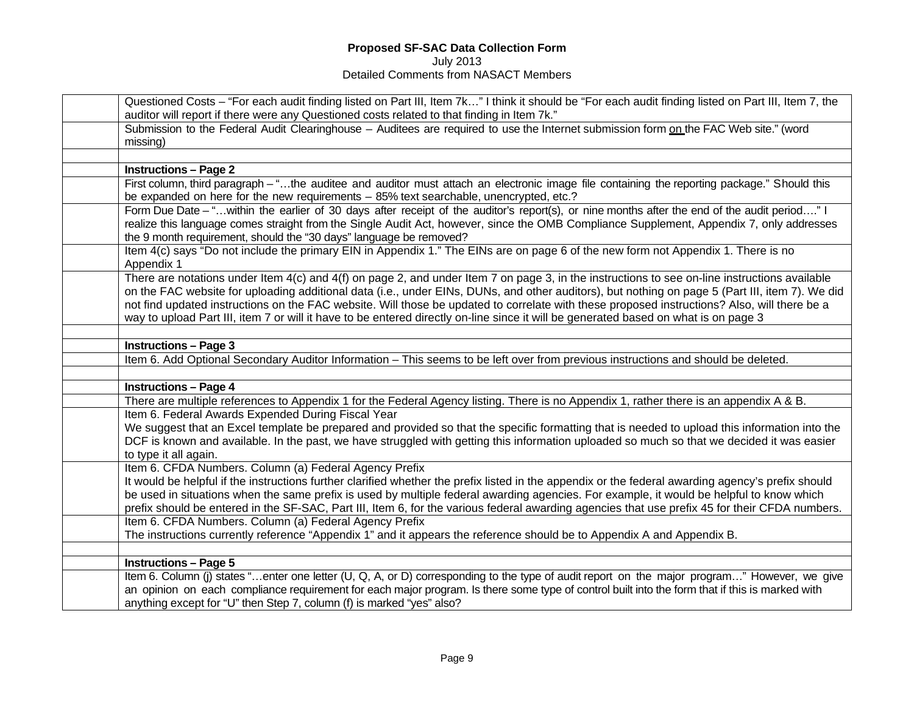| Questioned Costs - "For each audit finding listed on Part III, Item 7k" I think it should be "For each audit finding listed on Part III, Item 7, the                                                                                                                                                                                                                                                                                                                                                                                                                                    |
|-----------------------------------------------------------------------------------------------------------------------------------------------------------------------------------------------------------------------------------------------------------------------------------------------------------------------------------------------------------------------------------------------------------------------------------------------------------------------------------------------------------------------------------------------------------------------------------------|
| auditor will report if there were any Questioned costs related to that finding in Item 7k."                                                                                                                                                                                                                                                                                                                                                                                                                                                                                             |
| Submission to the Federal Audit Clearinghouse - Auditees are required to use the Internet submission form on the FAC Web site." (word                                                                                                                                                                                                                                                                                                                                                                                                                                                   |
| missing)                                                                                                                                                                                                                                                                                                                                                                                                                                                                                                                                                                                |
|                                                                                                                                                                                                                                                                                                                                                                                                                                                                                                                                                                                         |
| <b>Instructions - Page 2</b>                                                                                                                                                                                                                                                                                                                                                                                                                                                                                                                                                            |
| First column, third paragraph - "the auditee and auditor must attach an electronic image file containing the reporting package." Should this<br>be expanded on here for the new requirements - 85% text searchable, unencrypted, etc.?                                                                                                                                                                                                                                                                                                                                                  |
| Form Due Date - " within the earlier of 30 days after receipt of the auditor's report(s), or nine months after the end of the audit period" I<br>realize this language comes straight from the Single Audit Act, however, since the OMB Compliance Supplement, Appendix 7, only addresses<br>the 9 month requirement, should the "30 days" language be removed?                                                                                                                                                                                                                         |
| Item 4(c) says "Do not include the primary EIN in Appendix 1." The EINs are on page 6 of the new form not Appendix 1. There is no<br>Appendix 1                                                                                                                                                                                                                                                                                                                                                                                                                                         |
| There are notations under Item 4(c) and 4(f) on page 2, and under Item 7 on page 3, in the instructions to see on-line instructions available<br>on the FAC website for uploading additional data (i.e., under EINs, DUNs, and other auditors), but nothing on page 5 (Part III, item 7). We did<br>not find updated instructions on the FAC website. Will those be updated to correlate with these proposed instructions? Also, will there be a<br>way to upload Part III, item 7 or will it have to be entered directly on-line since it will be generated based on what is on page 3 |
|                                                                                                                                                                                                                                                                                                                                                                                                                                                                                                                                                                                         |
| <b>Instructions - Page 3</b>                                                                                                                                                                                                                                                                                                                                                                                                                                                                                                                                                            |
| Item 6. Add Optional Secondary Auditor Information - This seems to be left over from previous instructions and should be deleted.                                                                                                                                                                                                                                                                                                                                                                                                                                                       |
|                                                                                                                                                                                                                                                                                                                                                                                                                                                                                                                                                                                         |
| <b>Instructions - Page 4</b>                                                                                                                                                                                                                                                                                                                                                                                                                                                                                                                                                            |
| There are multiple references to Appendix 1 for the Federal Agency listing. There is no Appendix 1, rather there is an appendix A & B.                                                                                                                                                                                                                                                                                                                                                                                                                                                  |
| Item 6. Federal Awards Expended During Fiscal Year<br>We suggest that an Excel template be prepared and provided so that the specific formatting that is needed to upload this information into the<br>DCF is known and available. In the past, we have struggled with getting this information uploaded so much so that we decided it was easier<br>to type it all again.                                                                                                                                                                                                              |
| Item 6. CFDA Numbers. Column (a) Federal Agency Prefix<br>It would be helpful if the instructions further clarified whether the prefix listed in the appendix or the federal awarding agency's prefix should<br>be used in situations when the same prefix is used by multiple federal awarding agencies. For example, it would be helpful to know which<br>prefix should be entered in the SF-SAC, Part III, Item 6, for the various federal awarding agencies that use prefix 45 for their CFDA numbers.                                                                              |
| Item 6. CFDA Numbers. Column (a) Federal Agency Prefix<br>The instructions currently reference "Appendix 1" and it appears the reference should be to Appendix A and Appendix B.                                                                                                                                                                                                                                                                                                                                                                                                        |
|                                                                                                                                                                                                                                                                                                                                                                                                                                                                                                                                                                                         |
| <b>Instructions - Page 5</b>                                                                                                                                                                                                                                                                                                                                                                                                                                                                                                                                                            |
| Item 6. Column (j) states "enter one letter (U, Q, A, or D) corresponding to the type of audit report on the major program" However, we give<br>an opinion on each compliance requirement for each major program. Is there some type of control built into the form that if this is marked with<br>anything except for "U" then Step 7, column (f) is marked "yes" also?                                                                                                                                                                                                                |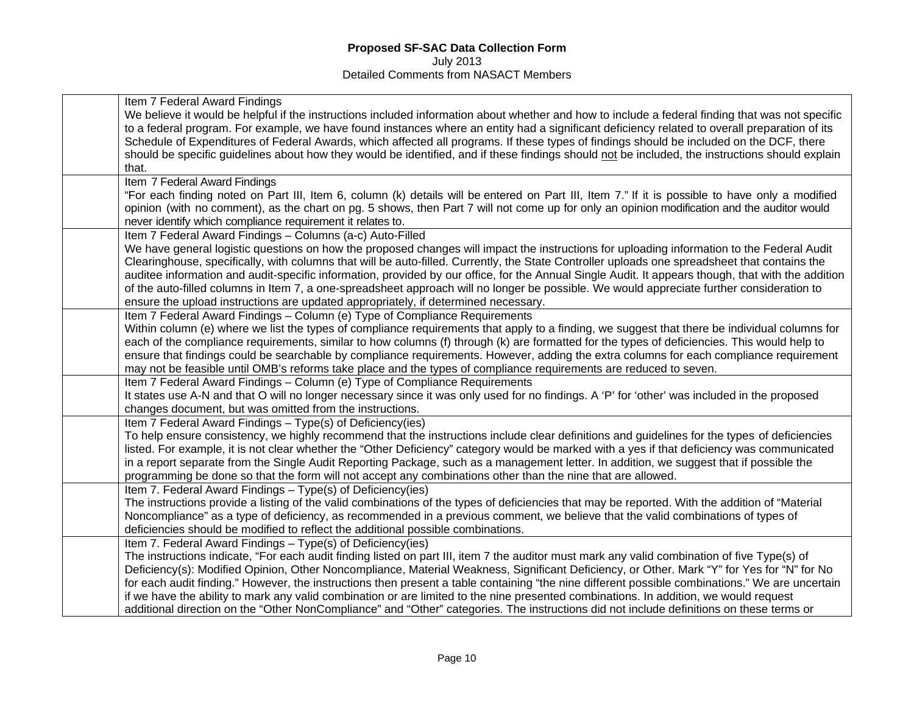| Item 7 Federal Award Findings                                                                                                                      |
|----------------------------------------------------------------------------------------------------------------------------------------------------|
| We believe it would be helpful if the instructions included information about whether and how to include a federal finding that was not specific   |
| to a federal program. For example, we have found instances where an entity had a significant deficiency related to overall preparation of its      |
| Schedule of Expenditures of Federal Awards, which affected all programs. If these types of findings should be included on the DCF, there           |
| should be specific guidelines about how they would be identified, and if these findings should not be included, the instructions should explain    |
| that.                                                                                                                                              |
| Item 7 Federal Award Findings                                                                                                                      |
| "For each finding noted on Part III, Item 6, column (k) details will be entered on Part III, Item 7." If it is possible to have only a modified    |
| opinion (with no comment), as the chart on pg. 5 shows, then Part 7 will not come up for only an opinion modification and the auditor would        |
| never identify which compliance requirement it relates to.                                                                                         |
| Item 7 Federal Award Findings - Columns (a-c) Auto-Filled                                                                                          |
| We have general logistic questions on how the proposed changes will impact the instructions for uploading information to the Federal Audit         |
| Clearinghouse, specifically, with columns that will be auto-filled. Currently, the State Controller uploads one spreadsheet that contains the      |
| auditee information and audit-specific information, provided by our office, for the Annual Single Audit. It appears though, that with the addition |
| of the auto-filled columns in Item 7, a one-spreadsheet approach will no longer be possible. We would appreciate further consideration to          |
| ensure the upload instructions are updated appropriately, if determined necessary.                                                                 |
| Item 7 Federal Award Findings - Column (e) Type of Compliance Requirements                                                                         |
| Within column (e) where we list the types of compliance requirements that apply to a finding, we suggest that there be individual columns for      |
| each of the compliance requirements, similar to how columns (f) through (k) are formatted for the types of deficiencies. This would help to        |
| ensure that findings could be searchable by compliance requirements. However, adding the extra columns for each compliance requirement             |
| may not be feasible until OMB's reforms take place and the types of compliance requirements are reduced to seven.                                  |
| Item 7 Federal Award Findings - Column (e) Type of Compliance Requirements                                                                         |
| It states use A-N and that O will no longer necessary since it was only used for no findings. A 'P' for 'other' was included in the proposed       |
| changes document, but was omitted from the instructions.                                                                                           |
| Item 7 Federal Award Findings - Type(s) of Deficiency(ies)                                                                                         |
| To help ensure consistency, we highly recommend that the instructions include clear definitions and guidelines for the types of deficiencies       |
| listed. For example, it is not clear whether the "Other Deficiency" category would be marked with a yes if that deficiency was communicated        |
| in a report separate from the Single Audit Reporting Package, such as a management letter. In addition, we suggest that if possible the            |
| programming be done so that the form will not accept any combinations other than the nine that are allowed.                                        |
| Item 7. Federal Award Findings - Type(s) of Deficiency(ies)                                                                                        |
| The instructions provide a listing of the valid combinations of the types of deficiencies that may be reported. With the addition of "Material     |
| Noncompliance" as a type of deficiency, as recommended in a previous comment, we believe that the valid combinations of types of                   |
| deficiencies should be modified to reflect the additional possible combinations.                                                                   |
| Item 7. Federal Award Findings - Type(s) of Deficiency(ies)                                                                                        |
| The instructions indicate, "For each audit finding listed on part III, item 7 the auditor must mark any valid combination of five Type(s) of       |
| Deficiency(s): Modified Opinion, Other Noncompliance, Material Weakness, Significant Deficiency, or Other. Mark "Y" for Yes for "N" for No         |
| for each audit finding." However, the instructions then present a table containing "the nine different possible combinations." We are uncertain    |
| if we have the ability to mark any valid combination or are limited to the nine presented combinations. In addition, we would request              |
| additional direction on the "Other NonCompliance" and "Other" categories. The instructions did not include definitions on these terms or           |